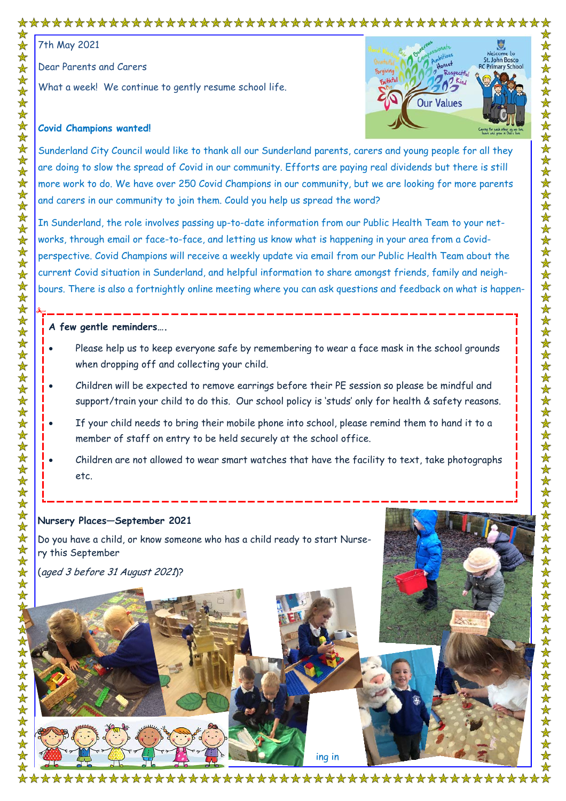# 

7th May 2021

Dear Parents and Carers

What a week! We continue to gently resume school life.



# **Covid Champions wanted!**

Sunderland City Council would like to thank all our Sunderland parents, carers and young people for all they are doing to slow the spread of Covid in our community. Efforts are paying real dividends but there is still more work to do. We have over 250 Covid Champions in our community, but we are looking for more parents and carers in our community to join them. Could you help us spread the word?

In Sunderland, the role involves passing up-to-date information from our Public Health Team to your networks, through email or face-to-face, and letting us know what is happening in your area from a Covidperspective. Covid Champions will receive a weekly update via email from our Public Health Team about the current Covid situation in Sunderland, and helpful information to share amongst friends, family and neighbours. There is also a fortnightly online meeting where you can ask questions and feedback on what is happen-

# **A few gentle reminders….**

- Please help us to keep everyone safe by remembering to wear a face mask in the school grounds when dropping off and collecting your child.
- Children will be expected to remove earrings before their PE session so please be mindful and support/train your child to do this. Our school policy is 'studs' only for health & safety reasons.
- If your child needs to bring their mobile phone into school, please remind them to hand it to a member of staff on entry to be held securely at the school office.
- Children are not allowed to wear smart watches that have the facility to text, take photographs etc.

## **Nursery Places—September 2021**

Do you have a child, or know someone who has a child ready to start Nursery this September

(aged 3 before 31 August 2021)?



\*\*\*\*\*\*\*\*\*\*\*\*\*\*\*\*\*\*\*\*\*\*\*\*\*\*